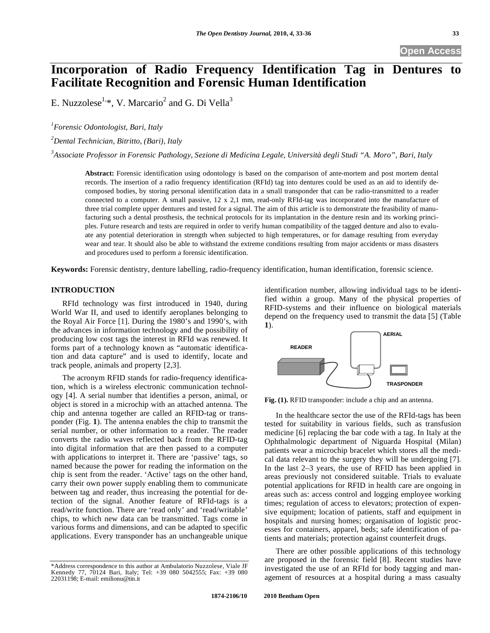**Open Access** 

# **Incorporation of Radio Frequency Identification Tag in Dentures to Facilitate Recognition and Forensic Human Identification**

E. Nuzzolese<sup>1, $*$ </sup>, V. Marcario<sup>2</sup> and G. Di Vella<sup>3</sup>

*1 Forensic Odontologist, Bari, Italy* 

*2 Dental Technician, Bitritto, (Bari), Italy* 

*3 Associate Professor in Forensic Pathology, Sezione di Medicina Legale, Università degli Studi "A. Moro", Bari, Italy* 

**Abstract:** Forensic identification using odontology is based on the comparison of ante-mortem and post mortem dental records. The insertion of a radio frequency identification (RFId) tag into dentures could be used as an aid to identify decomposed bodies, by storing personal identification data in a small transponder that can be radio-transmitted to a reader connected to a computer. A small passive, 12 x 2,1 mm, read-only RFId-tag was incorporated into the manufacture of three trial complete upper dentures and tested for a signal. The aim of this article is to demonstrate the feasibility of manufacturing such a dental prosthesis, the technical protocols for its implantation in the denture resin and its working principles. Future research and tests are required in order to verify human compatibility of the tagged denture and also to evaluate any potential deterioration in strength when subjected to high temperatures, or for damage resulting from everyday wear and tear. It should also be able to withstand the extreme conditions resulting from major accidents or mass disasters and procedures used to perform a forensic identification.

**Keywords:** Forensic dentistry, denture labelling, radio-frequency identification, human identification, forensic science.

## **INTRODUCTION**

RFId technology was first introduced in 1940, during World War II, and used to identify aeroplanes belonging to the Royal Air Force [1]. During the 1980's and 1990's, with the advances in information technology and the possibility of producing low cost tags the interest in RFId was renewed. It forms part of a technology known as "automatic identification and data capture" and is used to identify, locate and track people, animals and property [2,3].

The acronym RFID stands for radio-frequency identification, which is a wireless electronic communication technology [4]. A serial number that identifies a person, animal, or object is stored in a microchip with an attached antenna. The chip and antenna together are called an RFID-tag or transponder (Fig. **1**). The antenna enables the chip to transmit the serial number, or other information to a reader. The reader converts the radio waves reflected back from the RFID-tag into digital information that are then passed to a computer with applications to interpret it. There are 'passive' tags, so named because the power for reading the information on the chip is sent from the reader. 'Active' tags on the other hand, carry their own power supply enabling them to communicate between tag and reader, thus increasing the potential for detection of the signal. Another feature of RFId-tags is a read/write function. There are 'read only' and 'read/writable' chips, to which new data can be transmitted. Tags come in various forms and dimensions, and can be adapted to specific applications. Every transponder has an unchangeable unique

identification number, allowing individual tags to be identified within a group. Many of the physical properties of RFID-systems and their influence on biological materials depend on the frequency used to transmit the data [5] (Table **1**).



**Fig. (1).** RFID transponder: include a chip and an antenna.

In the healthcare sector the use of the RFId-tags has been tested for suitability in various fields, such as transfusion medicine [6] replacing the bar code with a tag. In Italy at the Ophthalmologic department of Niguarda Hospital (Milan) patients wear a microchip bracelet which stores all the medical data relevant to the surgery they will be undergoing [7]. In the last 2–3 years, the use of RFID has been applied in areas previously not considered suitable. Trials to evaluate potential applications for RFID in health care are ongoing in areas such as: access control and logging employee working times; regulation of access to elevators; protection of expensive equipment; location of patients, staff and equipment in hospitals and nursing homes; organisation of logistic processes for containers, apparel, beds; safe identification of patients and materials; protection against counterfeit drugs.

There are other possible applications of this technology are proposed in the forensic field [8]. Recent studies have investigated the use of an RFId for body tagging and management of resources at a hospital during a mass casualty

<sup>\*</sup>Address correspondence to this author at Ambulatorio Nuzzolese, Viale JF Kennedy 77, 70124 Bari, Italy; Tel: +39 080 5042555; Fax: +39 080 22031198; E-mail: emilionu@tin.it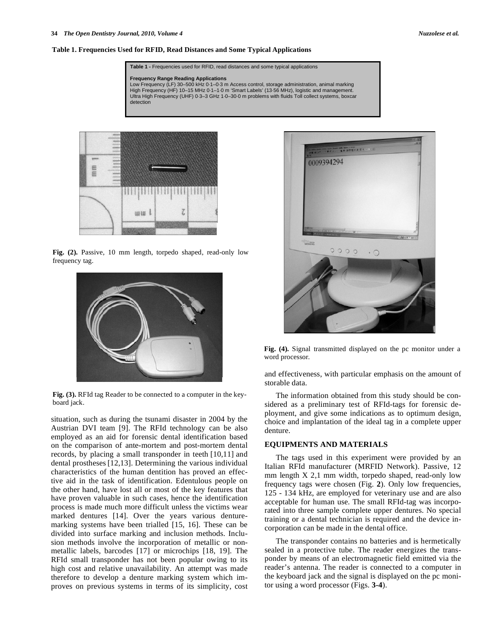#### **Table 1. Frequencies Used for RFID, Read Distances and Some Typical Applications**

**Table 1 -** Frequencies used for RFID, read distances and some typical applications

**Frequency Range Reading Applications** Low Frequency (LF) 30–500 kHz 0·1–0·3 m Access control, storage administration, animal marking High Frequency (HF) 10–15 MHz 0·1–1·0 m 'Smart Labels' (13·56 MHz), logistic and management. Ultra High Frequency (UHF) 0·3–3 GHz 1·0–30·0 m problems with fluids Toll collect systems, boxcar detection



**Fig. (2).** Passive, 10 mm length, torpedo shaped, read-only low frequency tag.



**Fig. (3).** RFId tag Reader to be connected to a computer in the keyboard jack.

situation, such as during the tsunami disaster in 2004 by the Austrian DVI team [9]. The RFId technology can be also employed as an aid for forensic dental identification based on the comparison of ante-mortem and post-mortem dental records, by placing a small transponder in teeth [10,11] and dental prostheses [12,13]. Determining the various individual characteristics of the human dentition has proved an effective aid in the task of identification. Edentulous people on the other hand, have lost all or most of the key features that have proven valuable in such cases, hence the identification process is made much more difficult unless the victims wear marked dentures [14]. Over the years various denturemarking systems have been trialled [15, 16]. These can be divided into surface marking and inclusion methods. Inclusion methods involve the incorporation of metallic or nonmetallic labels, barcodes [17] or microchips [18, 19]. The RFId small transponder has not been popular owing to its high cost and relative unavailability. An attempt was made therefore to develop a denture marking system which improves on previous systems in terms of its simplicity, cost



**Fig. (4).** Signal transmitted displayed on the pc monitor under a word processor.

and effectiveness, with particular emphasis on the amount of storable data.

The information obtained from this study should be considered as a preliminary test of RFId-tags for forensic deployment, and give some indications as to optimum design, choice and implantation of the ideal tag in a complete upper denture.

#### **EQUIPMENTS AND MATERIALS**

The tags used in this experiment were provided by an Italian RFId manufacturer (MRFID Network). Passive, 12 mm length X 2,1 mm width, torpedo shaped, read-only low frequency tags were chosen (Fig. **2**). Only low frequencies, 125 - 134 kHz, are employed for veterinary use and are also acceptable for human use. The small RFId-tag was incorporated into three sample complete upper dentures. No special training or a dental technician is required and the device incorporation can be made in the dental office.

The transponder contains no batteries and is hermetically sealed in a protective tube. The reader energizes the transponder by means of an electromagnetic field emitted via the reader's antenna. The reader is connected to a computer in the keyboard jack and the signal is displayed on the pc monitor using a word processor (Figs. **3-4**).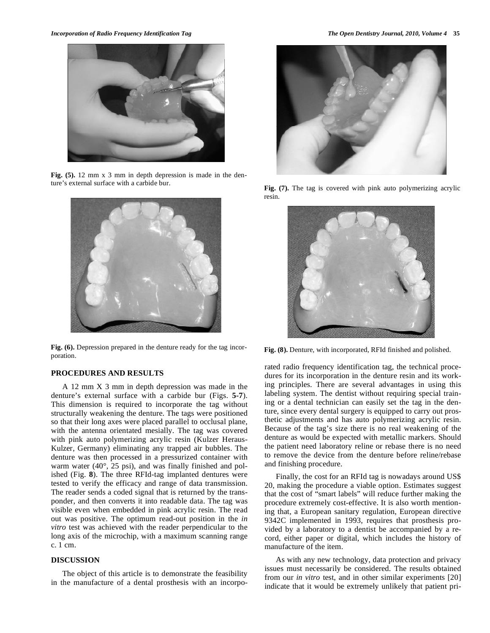

**Fig. (5).** 12 mm x 3 mm in depth depression is made in the denture's external surface with a carbide bur.



**Fig. (6).** Depression prepared in the denture ready for the tag incorporation.

#### **PROCEDURES AND RESULTS**

A 12 mm X 3 mm in depth depression was made in the denture's external surface with a carbide bur (Figs. **5-7**). This dimension is required to incorporate the tag without structurally weakening the denture. The tags were positioned so that their long axes were placed parallel to occlusal plane, with the antenna orientated mesially. The tag was covered with pink auto polymerizing acrylic resin (Kulzer Heraus-Kulzer, Germany) eliminating any trapped air bubbles. The denture was then processed in a pressurized container with warm water (40°, 25 psi), and was finally finished and polished (Fig. **8**). The three RFId-tag implanted dentures were tested to verify the efficacy and range of data transmission. The reader sends a coded signal that is returned by the transponder, and then converts it into readable data. The tag was visible even when embedded in pink acrylic resin. The read out was positive. The optimum read-out position in the *in vitro* test was achieved with the reader perpendicular to the long axis of the microchip, with a maximum scanning range c. 1 cm.

## **DISCUSSION**

The object of this article is to demonstrate the feasibility in the manufacture of a dental prosthesis with an incorpo-



**Fig. (7).** The tag is covered with pink auto polymerizing acrylic resin.



**Fig. (8).** Denture, with incorporated, RFId finished and polished.

rated radio frequency identification tag, the technical procedures for its incorporation in the denture resin and its working principles. There are several advantages in using this labeling system. The dentist without requiring special training or a dental technician can easily set the tag in the denture, since every dental surgery is equipped to carry out prosthetic adjustments and has auto polymerizing acrylic resin. Because of the tag's size there is no real weakening of the denture as would be expected with metallic markers. Should the patient need laboratory reline or rebase there is no need to remove the device from the denture before reline/rebase and finishing procedure.

Finally, the cost for an RFId tag is nowadays around US\$ 20, making the procedure a viable option. Estimates suggest that the cost of "smart labels" will reduce further making the procedure extremely cost-effective. It is also worth mentioning that, a European sanitary regulation, European directive 9342C implemented in 1993, requires that prosthesis provided by a laboratory to a dentist be accompanied by a record, either paper or digital, which includes the history of manufacture of the item.

As with any new technology, data protection and privacy issues must necessarily be considered. The results obtained from our *in vitro* test, and in other similar experiments [20] indicate that it would be extremely unlikely that patient pri